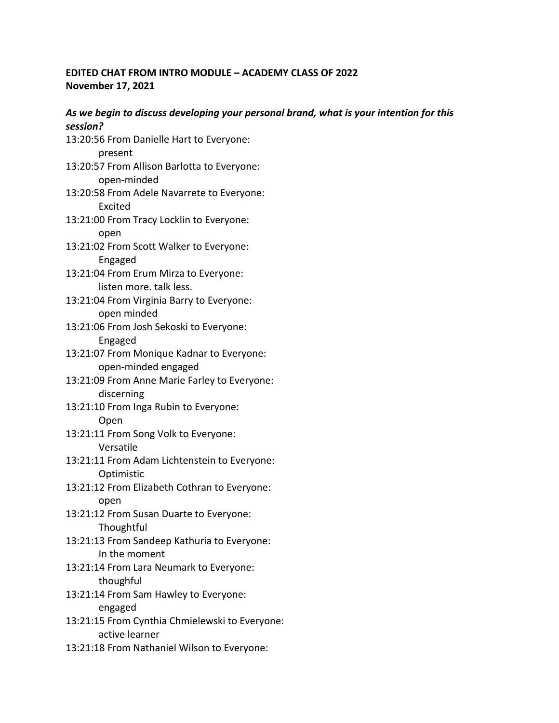# **EDITED CHAT FROM INTRO MODULE – ACADEMY CLASS OF 2022 November 17, 2021**

# *As we begin to discuss developing your personal brand, what is your intention for this session?*

- 13:20:56 From Danielle Hart to Everyone: present
- 13:20:57 From Allison Barlotta to Everyone: open-minded
- 13:20:58 From Adele Navarrete to Everyone: Excited
- 13:21:00 From Tracy Locklin to Everyone: open
- 13:21:02 From Scott Walker to Everyone: Engaged
- 13:21:04 From Erum Mirza to Everyone: listen more. talk less.
- 13:21:04 From Virginia Barry to Everyone: open minded
- 13:21:06 From Josh Sekoski to Everyone: Engaged
- 13:21:07 From Monique Kadnar to Everyone: open-minded engaged
- 13:21:09 From Anne Marie Farley to Everyone: discerning
- 13:21:10 From Inga Rubin to Everyone: Open
- 13:21:11 From Song Volk to Everyone: Versatile
- 13:21:11 From Adam Lichtenstein to Everyone: Optimistic
- 13:21:12 From Elizabeth Cothran to Everyone: open
- 13:21:12 From Susan Duarte to Everyone: **Thoughtful**
- 13:21:13 From Sandeep Kathuria to Everyone: In the moment
- 13:21:14 From Lara Neumark to Everyone: thoughful
- 13:21:14 From Sam Hawley to Everyone: engaged
- 13:21:15 From Cynthia Chmielewski to Everyone: active learner
- 13:21:18 From Nathaniel Wilson to Everyone: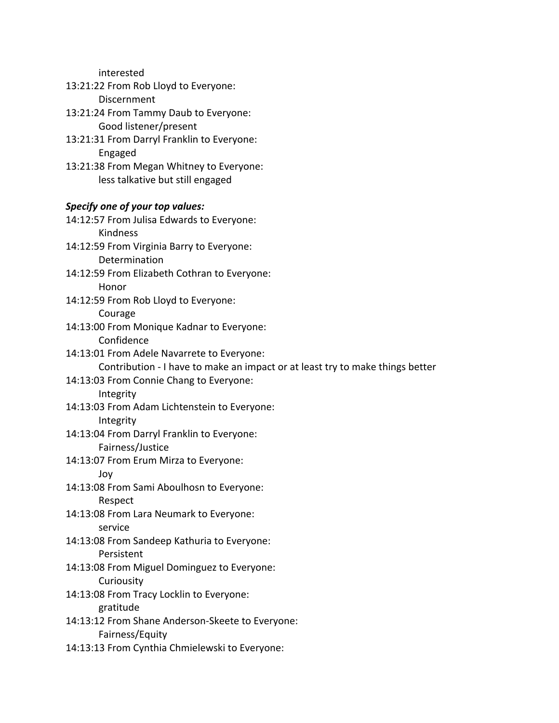interested

- 13:21:22 From Rob Lloyd to Everyone: Discernment
- 13:21:24 From Tammy Daub to Everyone: Good listener/present
- 13:21:31 From Darryl Franklin to Everyone: Engaged
- 13:21:38 From Megan Whitney to Everyone: less talkative but still engaged

### *Specify one of your top values:*

14:12:57 From Julisa Edwards to Everyone: Kindness 14:12:59 From Virginia Barry to Everyone: Determination 14:12:59 From Elizabeth Cothran to Everyone: Honor 14:12:59 From Rob Lloyd to Everyone: Courage 14:13:00 From Monique Kadnar to Everyone: Confidence 14:13:01 From Adele Navarrete to Everyone: Contribution - I have to make an impact or at least try to make things better 14:13:03 From Connie Chang to Everyone: Integrity 14:13:03 From Adam Lichtenstein to Everyone: Integrity 14:13:04 From Darryl Franklin to Everyone: Fairness/Justice 14:13:07 From Erum Mirza to Everyone: Joy 14:13:08 From Sami Aboulhosn to Everyone: Respect 14:13:08 From Lara Neumark to Everyone: service 14:13:08 From Sandeep Kathuria to Everyone: Persistent 14:13:08 From Miguel Dominguez to Everyone: **Curiousity** 14:13:08 From Tracy Locklin to Everyone: gratitude 14:13:12 From Shane Anderson-Skeete to Everyone: Fairness/Equity 14:13:13 From Cynthia Chmielewski to Everyone: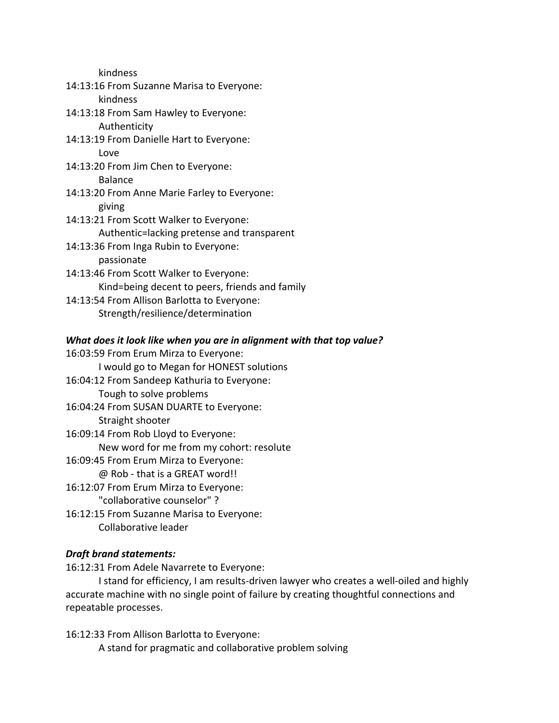kindness

- 14:13:16 From Suzanne Marisa to Everyone: kindness 14:13:18 From Sam Hawley to Everyone: Authenticity 14:13:19 From Danielle Hart to Everyone: Love 14:13:20 From Jim Chen to Everyone: Balance 14:13:20 From Anne Marie Farley to Everyone: giving 14:13:21 From Scott Walker to Everyone: Authentic=lacking pretense and transparent 14:13:36 From Inga Rubin to Everyone: passionate 14:13:46 From Scott Walker to Everyone: Kind=being decent to peers, friends and family 14:13:54 From Allison Barlotta to Everyone:
	- Strength/resilience/determination

## *What does it look like when you are in alignment with that top value?*

16:03:59 From Erum Mirza to Everyone: I would go to Megan for HONEST solutions 16:04:12 From Sandeep Kathuria to Everyone: Tough to solve problems 16:04:24 From SUSAN DUARTE to Everyone: Straight shooter 16:09:14 From Rob Lloyd to Everyone: New word for me from my cohort: resolute 16:09:45 From Erum Mirza to Everyone: @ Rob - that is a GREAT word!! 16:12:07 From Erum Mirza to Everyone: "collaborative counselor" ? 16:12:15 From Suzanne Marisa to Everyone: Collaborative leader

## *Draft brand statements:*

16:12:31 From Adele Navarrete to Everyone:

I stand for efficiency, I am results-driven lawyer who creates a well-oiled and highly accurate machine with no single point of failure by creating thoughtful connections and repeatable processes.

16:12:33 From Allison Barlotta to Everyone: A stand for pragmatic and collaborative problem solving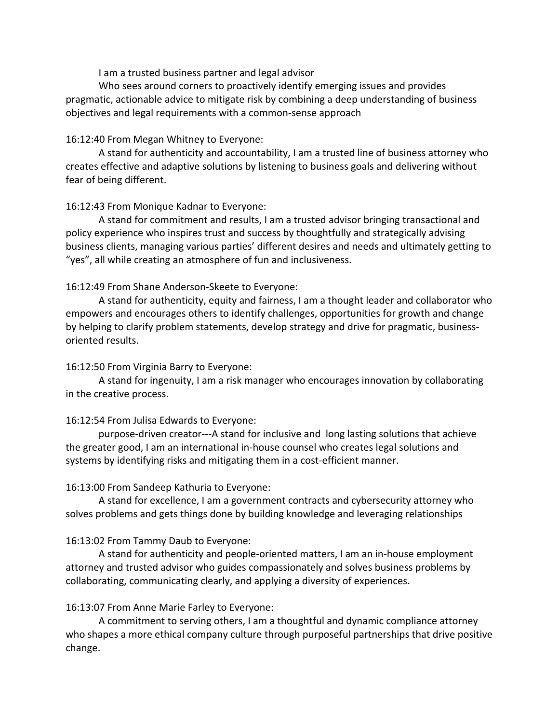I am a trusted business partner and legal advisor

Who sees around corners to proactively identify emerging issues and provides pragmatic, actionable advice to mitigate risk by combining a deep understanding of business objectives and legal requirements with a common-sense approach

## 16:12:40 From Megan Whitney to Everyone:

A stand for authenticity and accountability, I am a trusted line of business attorney who creates effective and adaptive solutions by listening to business goals and delivering without fear of being different.

## 16:12:43 From Monique Kadnar to Everyone:

A stand for commitment and results, I am a trusted advisor bringing transactional and policy experience who inspires trust and success by thoughtfully and strategically advising business clients, managing various parties' different desires and needs and ultimately getting to "yes", all while creating an atmosphere of fun and inclusiveness.

## 16:12:49 From Shane Anderson-Skeete to Everyone:

A stand for authenticity, equity and fairness, I am a thought leader and collaborator who empowers and encourages others to identify challenges, opportunities for growth and change by helping to clarify problem statements, develop strategy and drive for pragmatic, businessoriented results.

## 16:12:50 From Virginia Barry to Everyone:

A stand for ingenuity, I am a risk manager who encourages innovation by collaborating in the creative process.

## 16:12:54 From Julisa Edwards to Everyone:

purpose-driven creator---A stand for inclusive and long lasting solutions that achieve the greater good, I am an international in-house counsel who creates legal solutions and systems by identifying risks and mitigating them in a cost-efficient manner.

## 16:13:00 From Sandeep Kathuria to Everyone:

A stand for excellence, I am a government contracts and cybersecurity attorney who solves problems and gets things done by building knowledge and leveraging relationships

# 16:13:02 From Tammy Daub to Everyone:

A stand for authenticity and people-oriented matters, I am an in-house employment attorney and trusted advisor who guides compassionately and solves business problems by collaborating, communicating clearly, and applying a diversity of experiences.

## 16:13:07 From Anne Marie Farley to Everyone:

A commitment to serving others, I am a thoughtful and dynamic compliance attorney who shapes a more ethical company culture through purposeful partnerships that drive positive change.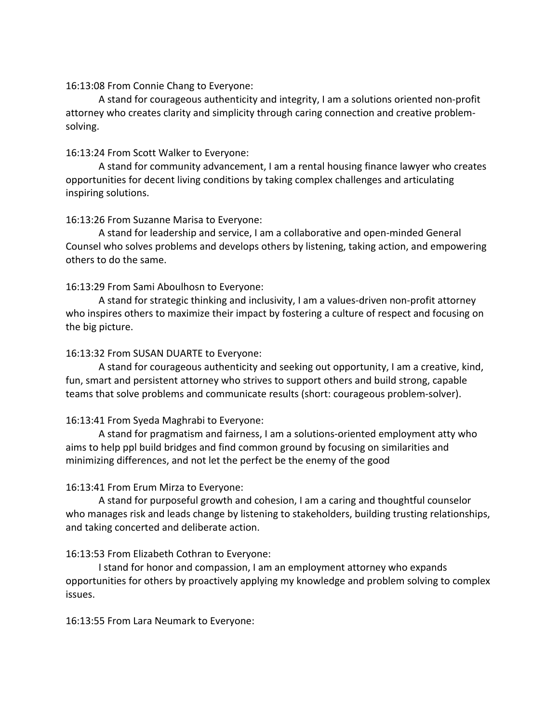### 16:13:08 From Connie Chang to Everyone:

A stand for courageous authenticity and integrity, I am a solutions oriented non-profit attorney who creates clarity and simplicity through caring connection and creative problemsolving.

### 16:13:24 From Scott Walker to Everyone:

A stand for community advancement, I am a rental housing finance lawyer who creates opportunities for decent living conditions by taking complex challenges and articulating inspiring solutions.

## 16:13:26 From Suzanne Marisa to Everyone:

A stand for leadership and service, I am a collaborative and open-minded General Counsel who solves problems and develops others by listening, taking action, and empowering others to do the same.

### 16:13:29 From Sami Aboulhosn to Everyone:

A stand for strategic thinking and inclusivity, I am a values-driven non-profit attorney who inspires others to maximize their impact by fostering a culture of respect and focusing on the big picture.

### 16:13:32 From SUSAN DUARTE to Everyone:

A stand for courageous authenticity and seeking out opportunity, I am a creative, kind, fun, smart and persistent attorney who strives to support others and build strong, capable teams that solve problems and communicate results (short: courageous problem-solver).

## 16:13:41 From Syeda Maghrabi to Everyone:

A stand for pragmatism and fairness, I am a solutions-oriented employment atty who aims to help ppl build bridges and find common ground by focusing on similarities and minimizing differences, and not let the perfect be the enemy of the good

## 16:13:41 From Erum Mirza to Everyone:

A stand for purposeful growth and cohesion, I am a caring and thoughtful counselor who manages risk and leads change by listening to stakeholders, building trusting relationships, and taking concerted and deliberate action.

## 16:13:53 From Elizabeth Cothran to Everyone:

I stand for honor and compassion, I am an employment attorney who expands opportunities for others by proactively applying my knowledge and problem solving to complex issues.

16:13:55 From Lara Neumark to Everyone: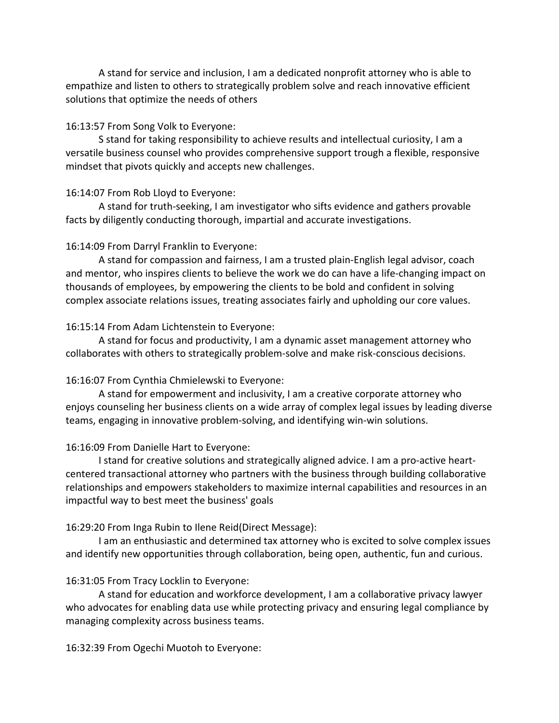A stand for service and inclusion, I am a dedicated nonprofit attorney who is able to empathize and listen to others to strategically problem solve and reach innovative efficient solutions that optimize the needs of others

#### 16:13:57 From Song Volk to Everyone:

S stand for taking responsibility to achieve results and intellectual curiosity, I am a versatile business counsel who provides comprehensive support trough a flexible, responsive mindset that pivots quickly and accepts new challenges.

### 16:14:07 From Rob Lloyd to Everyone:

A stand for truth-seeking, I am investigator who sifts evidence and gathers provable facts by diligently conducting thorough, impartial and accurate investigations.

### 16:14:09 From Darryl Franklin to Everyone:

A stand for compassion and fairness, I am a trusted plain-English legal advisor, coach and mentor, who inspires clients to believe the work we do can have a life-changing impact on thousands of employees, by empowering the clients to be bold and confident in solving complex associate relations issues, treating associates fairly and upholding our core values.

#### 16:15:14 From Adam Lichtenstein to Everyone:

A stand for focus and productivity, I am a dynamic asset management attorney who collaborates with others to strategically problem-solve and make risk-conscious decisions.

#### 16:16:07 From Cynthia Chmielewski to Everyone:

A stand for empowerment and inclusivity, I am a creative corporate attorney who enjoys counseling her business clients on a wide array of complex legal issues by leading diverse teams, engaging in innovative problem-solving, and identifying win-win solutions.

### 16:16:09 From Danielle Hart to Everyone:

I stand for creative solutions and strategically aligned advice. I am a pro-active heartcentered transactional attorney who partners with the business through building collaborative relationships and empowers stakeholders to maximize internal capabilities and resources in an impactful way to best meet the business' goals

#### 16:29:20 From Inga Rubin to Ilene Reid(Direct Message):

I am an enthusiastic and determined tax attorney who is excited to solve complex issues and identify new opportunities through collaboration, being open, authentic, fun and curious.

### 16:31:05 From Tracy Locklin to Everyone:

A stand for education and workforce development, I am a collaborative privacy lawyer who advocates for enabling data use while protecting privacy and ensuring legal compliance by managing complexity across business teams.

16:32:39 From Ogechi Muotoh to Everyone: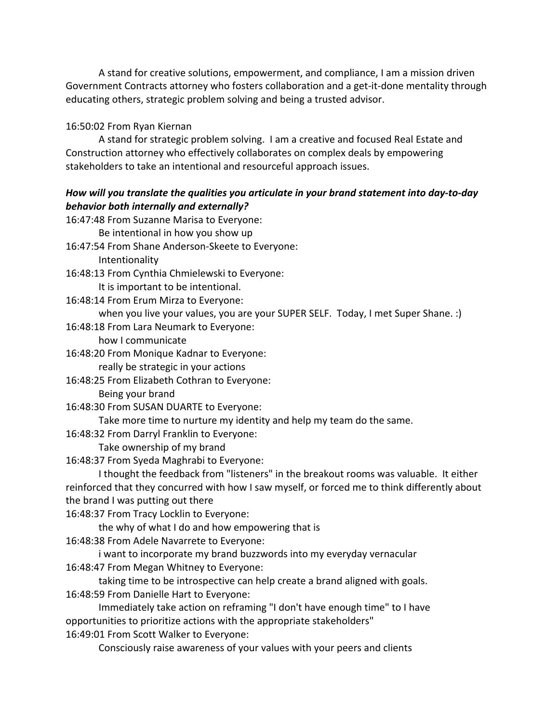A stand for creative solutions, empowerment, and compliance, I am a mission driven Government Contracts attorney who fosters collaboration and a get-it-done mentality through educating others, strategic problem solving and being a trusted advisor.

# 16:50:02 From Ryan Kiernan

A stand for strategic problem solving. I am a creative and focused Real Estate and Construction attorney who effectively collaborates on complex deals by empowering stakeholders to take an intentional and resourceful approach issues.

# *How will you translate the qualities you articulate in your brand statement into day-to-day behavior both internally and externally?*

| 16:47:48 From Suzanne Marisa to Everyone:                                                     |
|-----------------------------------------------------------------------------------------------|
| Be intentional in how you show up                                                             |
| 16:47:54 From Shane Anderson-Skeete to Everyone:                                              |
| Intentionality                                                                                |
| 16:48:13 From Cynthia Chmielewski to Everyone:                                                |
| It is important to be intentional.                                                            |
| 16:48:14 From Erum Mirza to Everyone:                                                         |
| when you live your values, you are your SUPER SELF. Today, I met Super Shane. :)              |
| 16:48:18 From Lara Neumark to Everyone:                                                       |
| how I communicate                                                                             |
| 16:48:20 From Monique Kadnar to Everyone:                                                     |
| really be strategic in your actions                                                           |
| 16:48:25 From Elizabeth Cothran to Everyone:                                                  |
| Being your brand                                                                              |
| 16:48:30 From SUSAN DUARTE to Everyone:                                                       |
| Take more time to nurture my identity and help my team do the same.                           |
| 16:48:32 From Darryl Franklin to Everyone:                                                    |
| Take ownership of my brand                                                                    |
| 16:48:37 From Syeda Maghrabi to Everyone:                                                     |
| I thought the feedback from "listeners" in the breakout rooms was valuable. It either         |
| reinforced that they concurred with how I saw myself, or forced me to think differently about |
| the brand I was putting out there                                                             |
| 16:48:37 From Tracy Locklin to Everyone:                                                      |
| the why of what I do and how empowering that is                                               |
| 16:48:38 From Adele Navarrete to Everyone:                                                    |
| i want to incorporate my brand buzzwords into my everyday vernacular                          |
| 16:48:47 From Megan Whitney to Everyone:                                                      |
| taking time to be introspective can help create a brand aligned with goals.                   |
| 16:48:59 From Danielle Hart to Everyone:                                                      |
| Immediately take action on reframing "I don't have enough time" to I have                     |
| opportunities to prioritize actions with the appropriate stakeholders"                        |
| 16:49:01 From Scott Walker to Everyone:                                                       |
| Consciously raise awareness of your values with your peers and clients                        |
|                                                                                               |